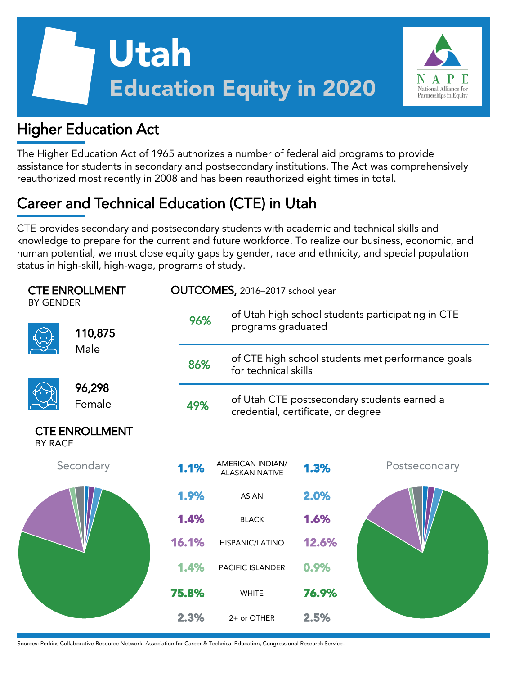



## Higher Education Act

The Higher Education Act of 1965 authorizes a number of federal aid programs to provide assistance for students in secondary and postsecondary institutions. The Act was comprehensively reauthorized most recently in 2008 and has been reauthorized eight times in total.

# Career and Technical Education (CTE) in Utah

CTE provides secondary and postsecondary students with academic and technical skills and knowledge to prepare for the current and future workforce. To realize our business, economic, and human potential, we must close equity gaps by gender, race and ethnicity, and special population status in high-skill, high-wage, programs of study.

| <b>CTE ENROLLMENT</b><br><b>BY GENDER</b> |                       |       | OUTCOMES, 2016-2017 school year                  |                                                                           |               |  |  |  |
|-------------------------------------------|-----------------------|-------|--------------------------------------------------|---------------------------------------------------------------------------|---------------|--|--|--|
|                                           | 110,875               | 96%   |                                                  | of Utah high school students participating in CTE<br>programs graduated   |               |  |  |  |
|                                           | Male                  | 86%   |                                                  | of CTE high school students met performance goals<br>for technical skills |               |  |  |  |
|                                           | 96,298<br>Female      | 49%   | credential, certificate, or degree               | of Utah CTE postsecondary students earned a                               |               |  |  |  |
| <b>BY RACE</b>                            | <b>CTE ENROLLMENT</b> |       |                                                  |                                                                           |               |  |  |  |
|                                           | Secondary             | 1.1%  | <b>AMERICAN INDIAN/</b><br><b>ALASKAN NATIVE</b> | 1.3%                                                                      | Postsecondary |  |  |  |
|                                           |                       | 1.9%  | <b>ASIAN</b>                                     | 2.0%                                                                      |               |  |  |  |
|                                           |                       | 1.4%  | <b>BLACK</b>                                     | 1.6%                                                                      |               |  |  |  |
|                                           |                       | 16.1% | <b>HISPANIC/LATINO</b>                           | 12.6%                                                                     |               |  |  |  |
|                                           |                       | 1.4%  | PACIFIC ISLANDER                                 | 0.9%                                                                      |               |  |  |  |
|                                           |                       | 75.8% | <b>WHITE</b>                                     | 76.9%                                                                     |               |  |  |  |
|                                           |                       | 2.3%  | 2+ or OTHER                                      | 2.5%                                                                      |               |  |  |  |

Sources: Perkins Collaborative Resource Network, Association for Career & Technical Education, Congressional Research Service.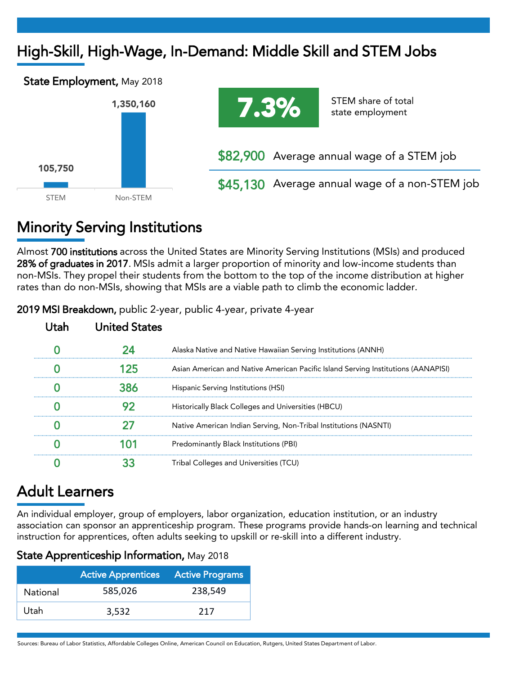# High-Skill, High-Wage, In-Demand: Middle Skill and STEM Jobs





STEM share of total state employment

\$82,900 Average annual wage of a STEM job

\$45,130 Average annual wage of a non-STEM job

# Minority Serving Institutions

Almost 700 institutions across the United States are Minority Serving Institutions (MSIs) and produced 28% of graduates in 2017. MSIs admit a larger proportion of minority and low-income students than non-MSIs. They propel their students from the bottom to the top of the income distribution at higher rates than do non-MSIs, showing that MSIs are a viable path to climb the economic ladder.

| United States |                                                                                   |
|---------------|-----------------------------------------------------------------------------------|
|               | Alaska Native and Native Hawaiian Serving Institutions (ANNH)                     |
|               | Asian American and Native American Pacific Island Serving Institutions (AANAPISI) |
|               | Hispanic Serving Institutions (HSI)                                               |
|               | Historically Black Colleges and Universities (HBCU)                               |
|               | Native American Indian Serving, Non-Tribal Institutions (NASNTI)                  |
|               | Predominantly Black Institutions (PBI)                                            |
|               | Tribal Colleges and Universities (TCU)                                            |

2019 MSI Breakdown, public 2-year, public 4-year, private 4-year

## Adult Learners

An individual employer, group of employers, labor organization, education institution, or an industry association can sponsor an apprenticeship program. These programs provide hands-on learning and technical instruction for apprentices, often adults seeking to upskill or re-skill into a different industry.

|  |  |  | State Apprenticeship Information, May 2018 |  |  |
|--|--|--|--------------------------------------------|--|--|
|--|--|--|--------------------------------------------|--|--|

|                 | <b>Active Apprentices</b> Active Programs |         |
|-----------------|-------------------------------------------|---------|
| <b>National</b> | 585,026                                   | 238.549 |
| Utah            | 3,532                                     | 217     |

Sources: Bureau of Labor Statistics, Affordable Colleges Online, American Council on Education, Rutgers, United States Department of Labor.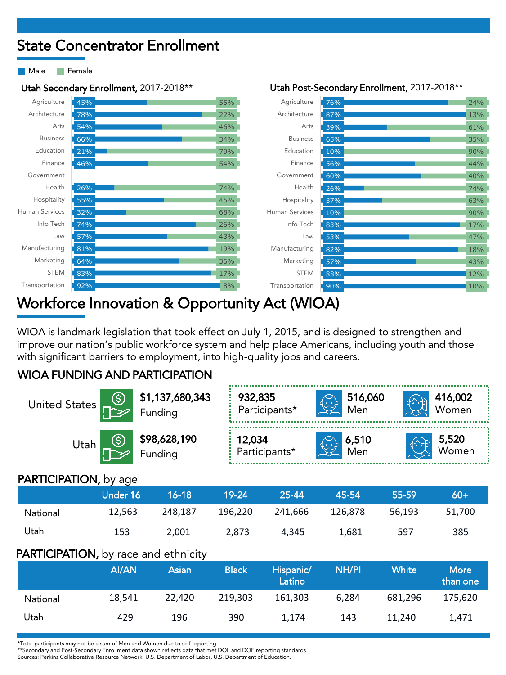## State Concentrator Enrollment

Male **Female** 



## Workforce Innovation & Opportunity Act (WIOA)

WIOA is landmark legislation that took effect on July 1, 2015, and is designed to strengthen and improve our nation's public workforce system and help place Americans, including youth and those with significant barriers to employment, into high-quality jobs and careers.

### WIOA FUNDING AND PARTICIPATION

| United States                |                 | \$1,137,680,343<br>Funding     | 932,835<br>Participants* | $\widetilde{\left(\cdot.\right)}$ | 516,060<br>Men |       | 416,002<br>Women |  |
|------------------------------|-----------------|--------------------------------|--------------------------|-----------------------------------|----------------|-------|------------------|--|
| ⑤<br>Utah                    |                 | <b>\$98,628,190</b><br>Funding |                          | اطمنتها<br>Participants*          | 6,510<br>Men   |       | 5,520<br>Women   |  |
| <b>PARTICIPATION, by age</b> |                 |                                |                          |                                   |                |       |                  |  |
|                              | <b>Under 16</b> | $16 - 18$                      | $19 - 24$                | 25-44                             | 45-54          | 55-59 | $60+$            |  |

|          | viiusi iv |         |         | - 20-tt | - TU-UT- | -55-57 |        |
|----------|-----------|---------|---------|---------|----------|--------|--------|
| National | 12,563    | 248.187 | 196,220 | 241,666 | 126,878  | 56.193 | 51,700 |
| Utah     | 153       | 2.001   | 2.873   | 4.345   | 1.681    | 597    | 385    |

#### PARTICIPATION, by race and ethnicity

|          | AI/AN  | Asian  | <b>Black</b> | Hispanic/<br>Latino | <b>NH/PI</b> | White   | <b>More</b><br>than one |
|----------|--------|--------|--------------|---------------------|--------------|---------|-------------------------|
| National | 18,541 | 22.420 | 219.303      | 161.303             | 6.284        | 681.296 | 175,620                 |
| Utah     | 429    | 196    | 390          | 1.174               | 143          | 11.240  | 1,471                   |

\*Total participants may not be a sum of Men and Women due to self reporting

\*\*Secondary and Post-Secondary Enrollment data shown reflects data that met DOL and DOE reporting standards

Sources: Perkins Collaborative Resource Network, U.S. Department of Labor, U.S. Department of Education.

#### Utah Secondary Enrollment, 2017-2018\*\* Utah Post-Secondary Enrollment, 2017-2018\*\*